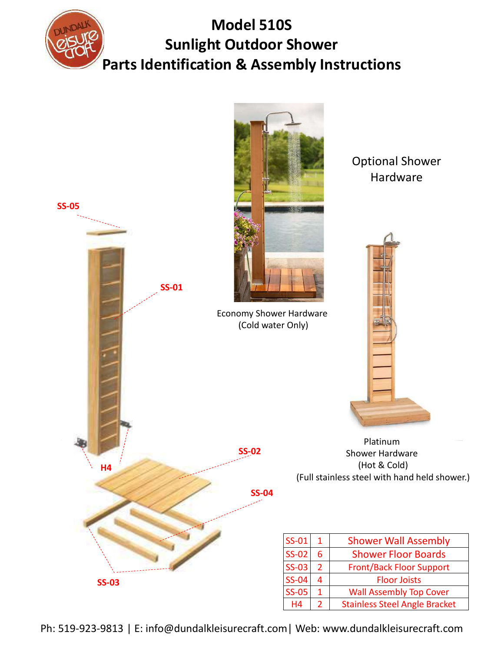

## Model 510S Sunlight Outdoor Shower Parts Identification & Assembly Instructions



Ph: 519-923-9813 | E: info@dundalkleisurecraft.com| Web: www.dundalkleisurecraft.com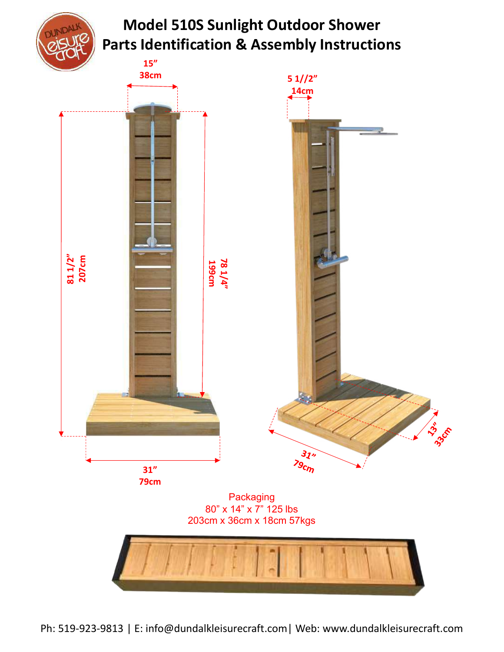

## Model 510S Sunlight Outdoor Shower Parts Identification & Assembly Instructions

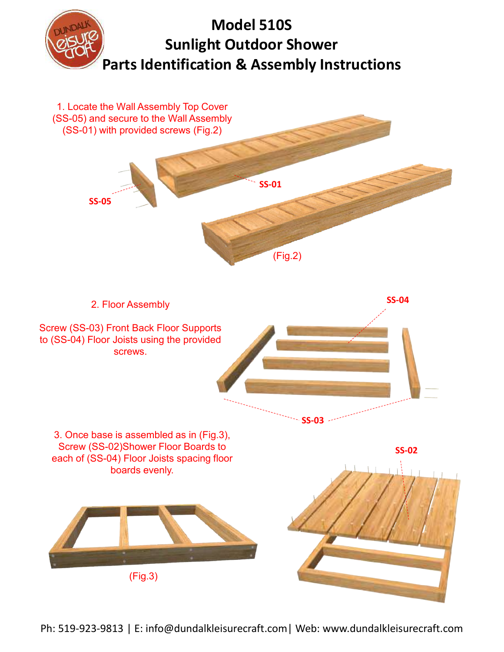

Ph: 519-923-9813 | E: info@dundalkleisurecraft.com| Web: www.dundalkleisurecraft.com